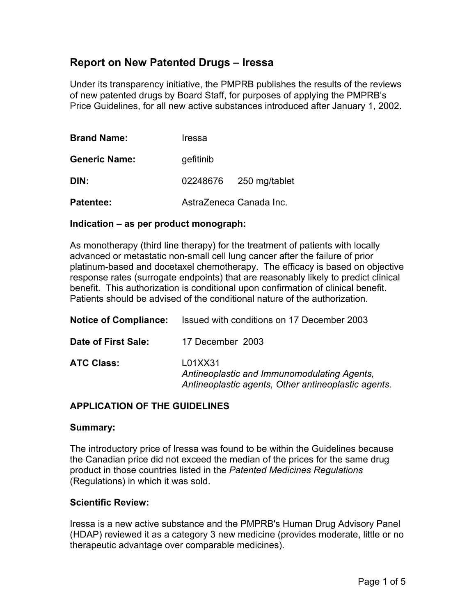## **Report on New Patented Drugs – Iressa**

Under its transparency initiative, the PMPRB publishes the results of the reviews of new patented drugs by Board Staff, for purposes of applying the PMPRB's Price Guidelines, for all new active substances introduced after January 1, 2002.

| <b>Brand Name:</b>   | Iressa                  |               |
|----------------------|-------------------------|---------------|
| <b>Generic Name:</b> | gefitinib               |               |
| DIN:                 | 02248676                | 250 mg/tablet |
| <b>Patentee:</b>     | AstraZeneca Canada Inc. |               |

#### **Indication – as per product monograph:**

As monotherapy (third line therapy) for the treatment of patients with locally advanced or metastatic non-small cell lung cancer after the failure of prior platinum-based and docetaxel chemotherapy. The efficacy is based on objective response rates (surrogate endpoints) that are reasonably likely to predict clinical benefit. This authorization is conditional upon confirmation of clinical benefit. Patients should be advised of the conditional nature of the authorization.

| <b>Notice of Compliance:</b> | Issued with conditions on 17 December 2003                                                                    |  |
|------------------------------|---------------------------------------------------------------------------------------------------------------|--|
| Date of First Sale:          | 17 December 2003                                                                                              |  |
| <b>ATC Class:</b>            | L01XX31<br>Antineoplastic and Immunomodulating Agents,<br>Antineoplastic agents, Other antineoplastic agents. |  |

## **APPLICATION OF THE GUIDELINES**

#### **Summary:**

The introductory price of Iressa was found to be within the Guidelines because the Canadian price did not exceed the median of the prices for the same drug product in those countries listed in the *Patented Medicines Regulations* (Regulations) in which it was sold.

#### **Scientific Review:**

Iressa is a new active substance and the PMPRB's Human Drug Advisory Panel (HDAP) reviewed it as a category 3 new medicine (provides moderate, little or no therapeutic advantage over comparable medicines).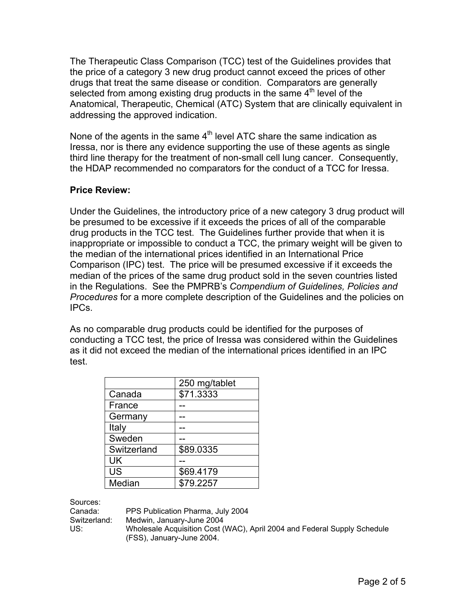The Therapeutic Class Comparison (TCC) test of the Guidelines provides that the price of a category 3 new drug product cannot exceed the prices of other drugs that treat the same disease or condition. Comparators are generally selected from among existing drug products in the same  $4<sup>th</sup>$  level of the Anatomical, Therapeutic, Chemical (ATC) System that are clinically equivalent in addressing the approved indication.

None of the agents in the same  $4<sup>th</sup>$  level ATC share the same indication as Iressa, nor is there any evidence supporting the use of these agents as single third line therapy for the treatment of non-small cell lung cancer. Consequently, the HDAP recommended no comparators for the conduct of a TCC for Iressa.

## **Price Review:**

Under the Guidelines, the introductory price of a new category 3 drug product will be presumed to be excessive if it exceeds the prices of all of the comparable drug products in the TCC test. The Guidelines further provide that when it is inappropriate or impossible to conduct a TCC, the primary weight will be given to the median of the international prices identified in an International Price Comparison (IPC) test. The price will be presumed excessive if it exceeds the median of the prices of the same drug product sold in the seven countries listed in the Regulations. See the PMPRB's *Compendium of Guidelines, Policies and Procedures* for a more complete description of the Guidelines and the policies on IPCs.

As no comparable drug products could be identified for the purposes of conducting a TCC test, the price of Iressa was considered within the Guidelines as it did not exceed the median of the international prices identified in an IPC test.

|             | 250 mg/tablet |
|-------------|---------------|
| Canada      | \$71.3333     |
| France      |               |
| Germany     |               |
| Italy       |               |
| Sweden      |               |
| Switzerland | \$89.0335     |
| UK          |               |
| <b>US</b>   | \$69.4179     |
| Median      | \$79.2257     |

Sources:

Canada: PPS Publication Pharma, July 2004 Switzerland: Medwin, January-June 2004 US: Wholesale Acquisition Cost (WAC), April 2004 and Federal Supply Schedule (FSS), January-June 2004.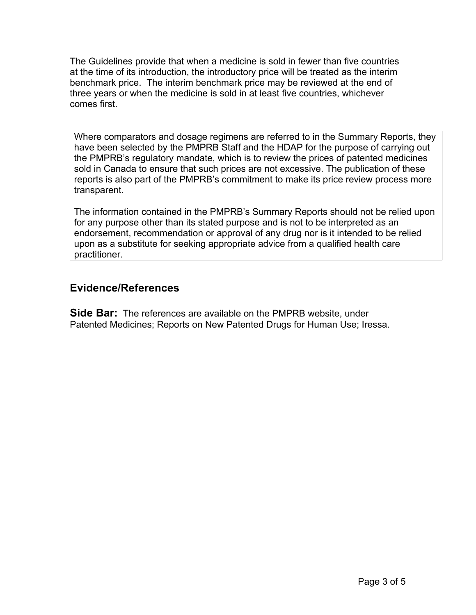The Guidelines provide that when a medicine is sold in fewer than five countries at the time of its introduction, the introductory price will be treated as the interim benchmark price. The interim benchmark price may be reviewed at the end of three years or when the medicine is sold in at least five countries, whichever comes first.

Where comparators and dosage regimens are referred to in the Summary Reports, they have been selected by the PMPRB Staff and the HDAP for the purpose of carrying out the PMPRB's regulatory mandate, which is to review the prices of patented medicines sold in Canada to ensure that such prices are not excessive. The publication of these reports is also part of the PMPRB's commitment to make its price review process more transparent.

The information contained in the PMPRB's Summary Reports should not be relied upon for any purpose other than its stated purpose and is not to be interpreted as an endorsement, recommendation or approval of any drug nor is it intended to be relied upon as a substitute for seeking appropriate advice from a qualified health care practitioner.

# **Evidence/References**

**Side Bar:** The references are available on the PMPRB website, under Patented Medicines; Reports on New Patented Drugs for Human Use; Iressa.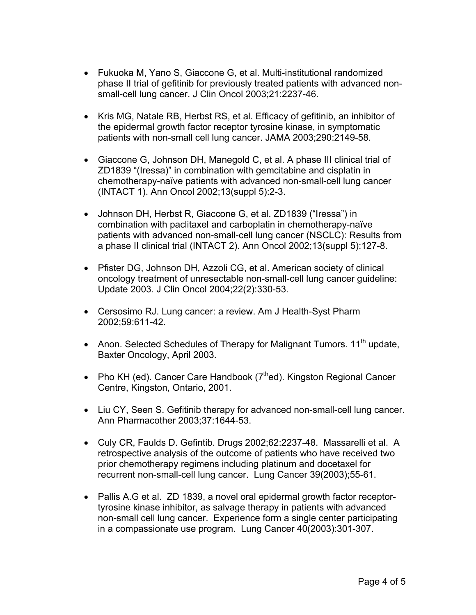- Fukuoka M, Yano S, Giaccone G, et al. Multi-institutional randomized phase II trial of gefitinib for previously treated patients with advanced nonsmall-cell lung cancer. J Clin Oncol 2003;21:2237-46.
- Kris MG, Natale RB, Herbst RS, et al. Efficacy of gefitinib, an inhibitor of the epidermal growth factor receptor tyrosine kinase, in symptomatic patients with non-small cell lung cancer. JAMA 2003;290:2149-58.
- Giaccone G, Johnson DH, Manegold C, et al. A phase III clinical trial of ZD1839 "(Iressa)" in combination with gemcitabine and cisplatin in chemotherapy-naïve patients with advanced non-small-cell lung cancer (INTACT 1). Ann Oncol 2002;13(suppl 5):2-3.
- Johnson DH, Herbst R, Giaccone G, et al. ZD1839 ("Iressa") in combination with paclitaxel and carboplatin in chemotherapy-naïve patients with advanced non-small-cell lung cancer (NSCLC): Results from a phase II clinical trial (INTACT 2). Ann Oncol 2002;13(suppl 5):127-8.
- Pfister DG, Johnson DH, Azzoli CG, et al. American society of clinical oncology treatment of unresectable non-small-cell lung cancer guideline: Update 2003. J Clin Oncol 2004;22(2):330-53.
- Cersosimo RJ. Lung cancer: a review. Am J Health-Syst Pharm 2002;59:611-42.
- Anon. Selected Schedules of Therapy for Malignant Tumors. 11<sup>th</sup> update, Baxter Oncology, April 2003.
- Pho KH (ed). Cancer Care Handbook  $(7<sup>th</sup>$ ed). Kingston Regional Cancer Centre, Kingston, Ontario, 2001.
- Liu CY, Seen S. Gefitinib therapy for advanced non-small-cell lung cancer. Ann Pharmacother 2003;37:1644-53.
- Culy CR, Faulds D. Gefintib. Drugs 2002;62:2237-48. Massarelli et al. A retrospective analysis of the outcome of patients who have received two prior chemotherapy regimens including platinum and docetaxel for recurrent non-small-cell lung cancer. Lung Cancer 39(2003);55-61.
- Pallis A.G et al. ZD 1839, a novel oral epidermal growth factor receptortyrosine kinase inhibitor, as salvage therapy in patients with advanced non-small cell lung cancer. Experience form a single center participating in a compassionate use program. Lung Cancer 40(2003):301-307.